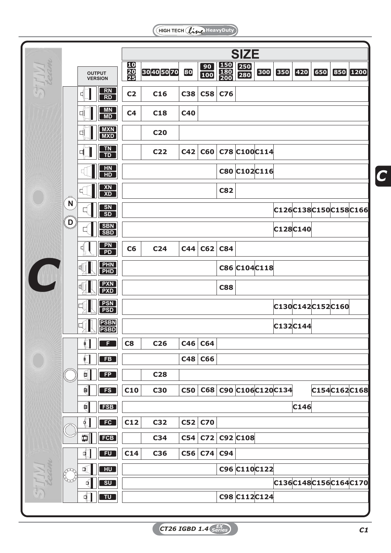HIGH TECH (line HeavyDuty)

|        |                                  |                   |                                   | <b>SIZE</b>                        |                 |                        |                     |                                                                                   |                    |          |         |               |     |  |                      |
|--------|----------------------------------|-------------------|-----------------------------------|------------------------------------|-----------------|------------------------|---------------------|-----------------------------------------------------------------------------------|--------------------|----------|---------|---------------|-----|--|----------------------|
| STIVI  |                                  |                   | <b>OUTPUT</b><br><b>VERSION</b>   | $\frac{10}{20}$<br>$\frac{20}{25}$ | 30405070        | 80                     | $\boxed{90}$<br>100 | $\begin{array}{ c } \hline 150 \\ \hline 180 \\ \hline 200 \\ \hline \end{array}$ | 250<br>280         | 300      | $[350]$ | $\boxed{420}$ | 650 |  | 850 1200             |
| $\Box$ | N<br>يصص<br>D<br><b>DOOOOO</b>   |                   | $\frac{RN}{RD}$                   | C <sub>2</sub>                     | C <sub>16</sub> | <b>C38</b>             | C58                 | C76                                                                               |                    |          |         |               |     |  |                      |
|        |                                  |                   | $\frac{MN}{MD}$                   | C <sub>4</sub>                     | C <sub>18</sub> | <b>C40</b>             |                     |                                                                                   |                    |          |         |               |     |  |                      |
|        |                                  |                   | <b>MXN</b><br>MXD                 |                                    | <b>C20</b>      |                        |                     |                                                                                   |                    |          |         |               |     |  |                      |
|        |                                  |                   | $\frac{TN}{TD}$                   |                                    | C22             | C42                    | C60                 |                                                                                   | C78 C100C114       |          |         |               |     |  |                      |
|        |                                  |                   | <b>HN</b>                         |                                    |                 |                        |                     | C80 C102C116                                                                      |                    |          |         |               |     |  |                      |
|        |                                  |                   | H <sub>D</sub><br><b>XN</b>       |                                    |                 | <b>C82</b>             |                     |                                                                                   |                    |          |         |               |     |  |                      |
|        |                                  |                   | $\overline{XD}$<br>SN             |                                    |                 |                        |                     |                                                                                   |                    |          |         |               |     |  | C126C138C150C158C166 |
|        |                                  |                   | $\overline{\text{SD}}$            |                                    |                 |                        |                     |                                                                                   |                    |          |         |               |     |  |                      |
|        |                                  |                   | SBN<br>SBD                        |                                    |                 |                        |                     |                                                                                   | C128C140           |          |         |               |     |  |                      |
|        |                                  |                   | $\frac{\mathsf{PN}}{\mathsf{PD}}$ | C6                                 | C <sub>24</sub> | C44                    | C62                 | <b>C84</b>                                                                        |                    |          |         |               |     |  |                      |
|        |                                  |                   | PHN<br>PHD                        |                                    |                 |                        | C86 C104 C118       |                                                                                   |                    |          |         |               |     |  |                      |
|        |                                  |                   | <b>PXN</b><br>PXD                 |                                    |                 | <b>C88</b>             |                     |                                                                                   |                    |          |         |               |     |  |                      |
|        |                                  |                   | <b>PSN</b><br>PSD                 |                                    |                 | C130C142C152C160       |                     |                                                                                   |                    |          |         |               |     |  |                      |
|        |                                  |                   | <b>PSBN</b><br><b>PSBD</b>        |                                    |                 |                        |                     |                                                                                   |                    | C132C144 |         |               |     |  |                      |
|        |                                  | L                 | Ð                                 | C8                                 | C <sub>26</sub> | C46                    | <b>C64</b>          |                                                                                   |                    |          |         |               |     |  |                      |
|        |                                  | $\Box$            | FB                                |                                    |                 | <b>C66</b>             |                     |                                                                                   |                    |          |         |               |     |  |                      |
|        |                                  | $\blacksquare$    | FP                                |                                    | <b>C28</b>      | C68 C90 C106 C120 C134 |                     |                                                                                   |                    |          |         |               |     |  |                      |
|        |                                  | 創                 | FS                                | C10                                | <b>C30</b>      | <b>C50</b>             |                     |                                                                                   |                    |          |         |               |     |  | C154C162C168         |
|        |                                  | $\mathbf{H}$<br>€ | <b>FSB</b><br>FC                  | C12                                | C32             | C146                   |                     |                                                                                   |                    |          |         |               |     |  |                      |
|        |                                  | 1                 | FCB                               |                                    | C34             | C52<br>C54             | <b>C70</b>          |                                                                                   | $C72$ $C92$ $C108$ |          |         |               |     |  |                      |
| SHIVI  | <b>PRODUCTION</b><br><b>Pool</b> | ┫                 | <b>FU</b>                         | C14                                | C36             | C56                    |                     | $C74$ C94                                                                         |                    |          |         |               |     |  |                      |
|        |                                  | $\mathbb{Q}$      | $H$ U                             |                                    |                 |                        |                     |                                                                                   | C96 C110C122       |          |         |               |     |  |                      |
|        |                                  | र्∣               | SU                                |                                    |                 |                        |                     |                                                                                   |                    |          |         |               |     |  | C136C148C156C164C170 |
|        |                                  | ┫                 | <b>TU</b>                         |                                    |                 |                        |                     |                                                                                   | C98 C112C124       |          |         |               |     |  |                      |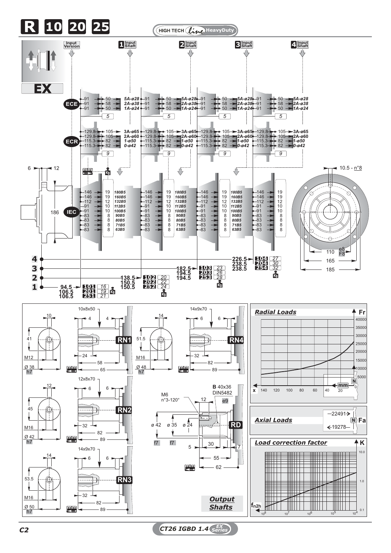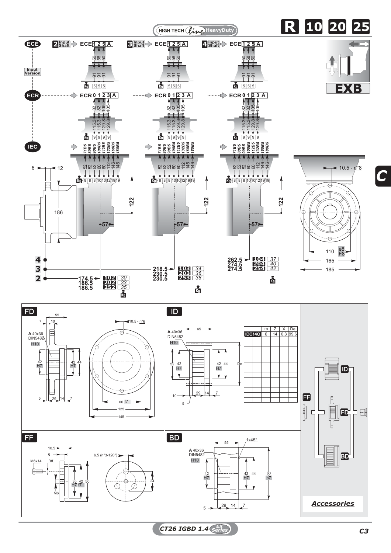

*C*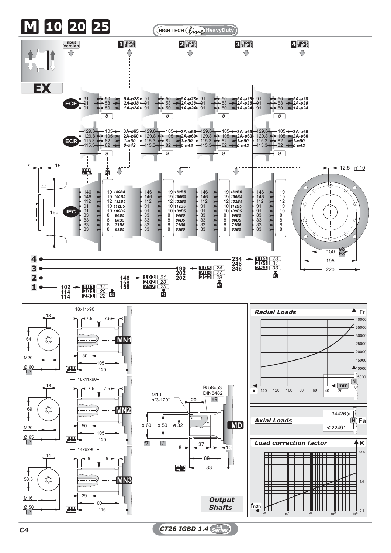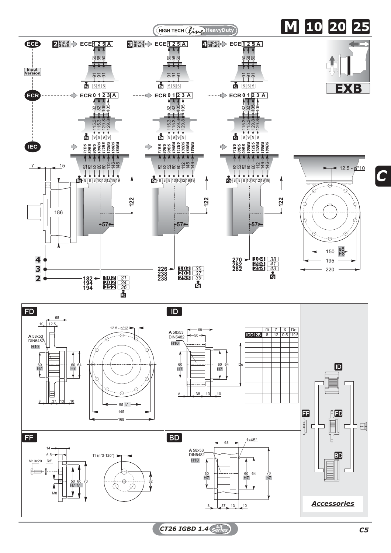

*C*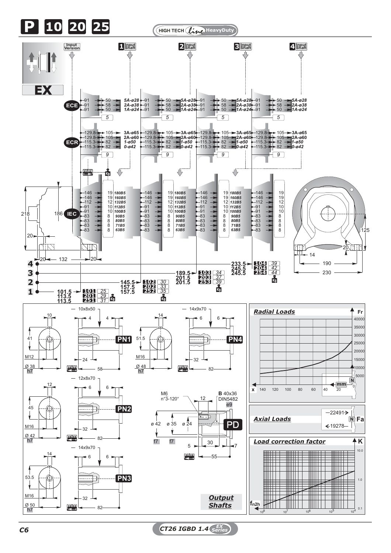

*C6 CT26 IGBD 1.4 EX Series*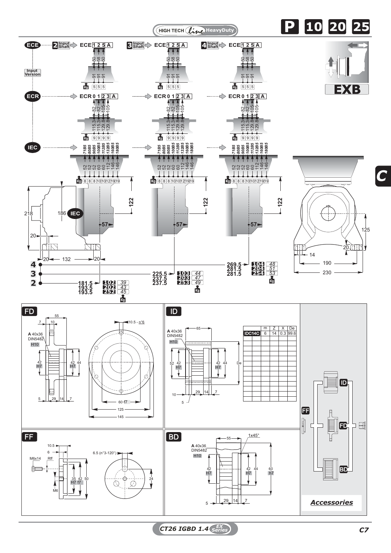

*CT26 IGBD 1.4 C7 EX Series*

*C*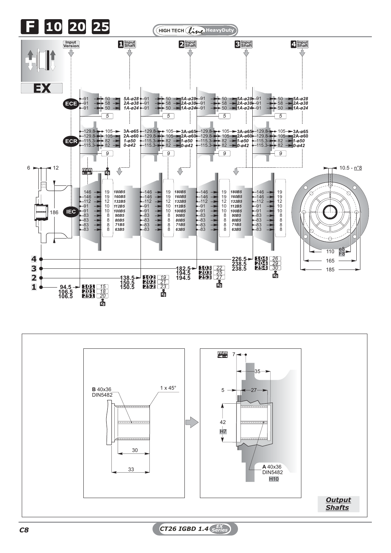



*C8 CT26 IGBD 1.4 EX Series*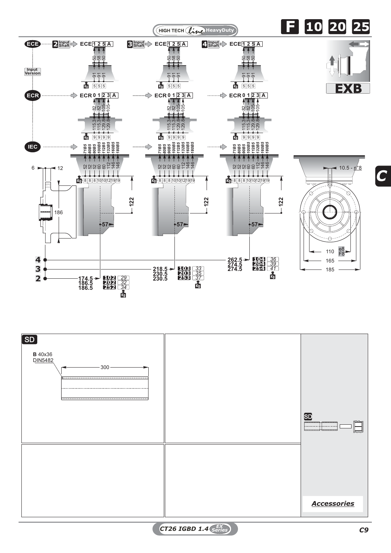



*CT26 IGBD 1.4 C9 EX Series*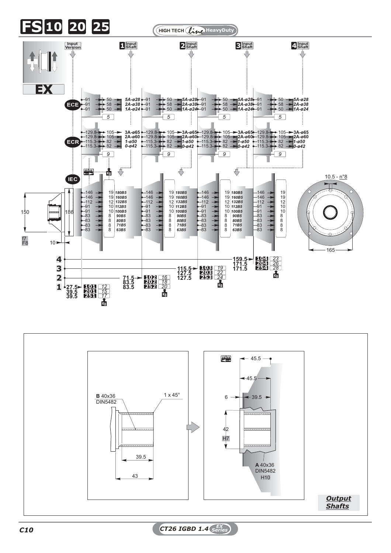



*C10 CT26 IGBD 1.4 EX Series*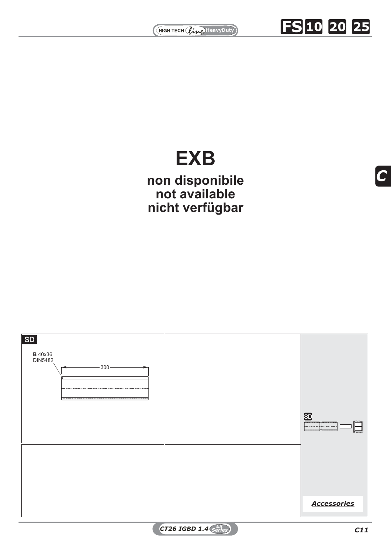

**FS 10 20 25**

## *100B5 112B5 132B5 160B5 180B5* **EXB**

<br>**36339**<br>**3633939339**<br>**3633939**<br>**363499**<br>**363499**<br>**363499**<br>**36349**<br>**36349**<br>**36349**<br>**36349 nicht verfügbar** <sup>10</sup><sup>10121919</sup> <sup>5252526060112</sup> <sup>146</sup> <sup>146</sup> 8 8 <sup>8</sup> <sup>10</sup><sup>10121919</sup> <sup>5252526060112</sup> <sup>146</sup> <sup>146</sup> 8 8 **non disponibile not available**

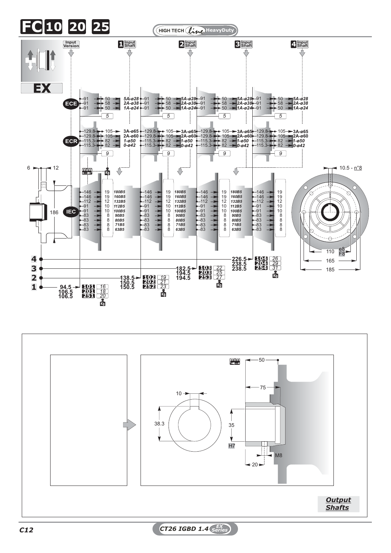

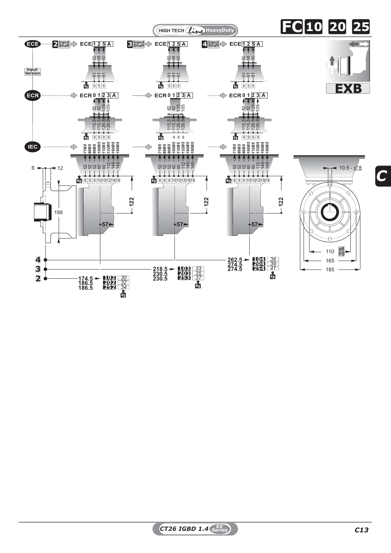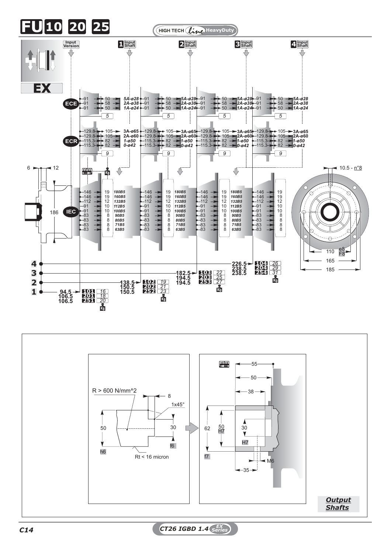